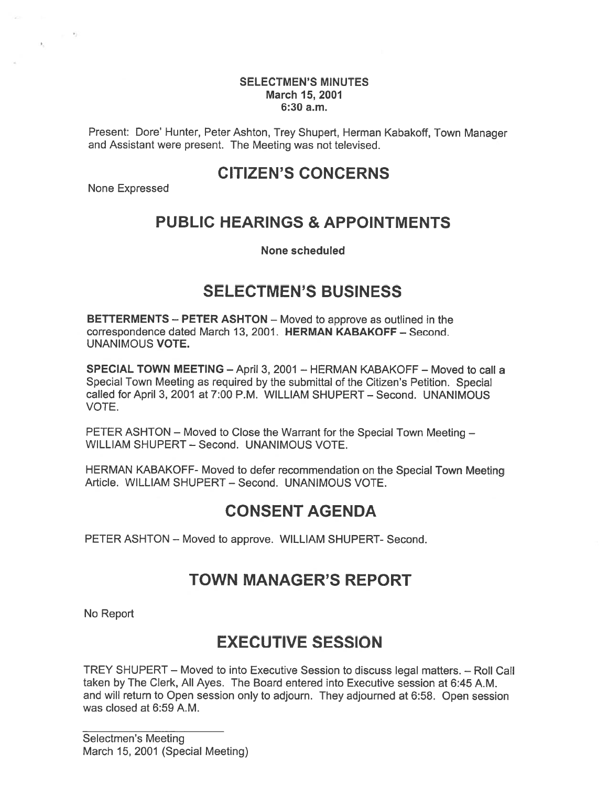#### SELECTMEN'S MINUTES March 15, 2001 6:30 a.m.

Present: Dote' Hunter, Peter Ashton, Trey Shupert, Herman Kabakoff, Town Manager and Assistant were present. The Meeting was not televised.

## CITIZEN'S CONCERNS

None Expressed

 $\label{eq:zeta} \epsilon_{\rm c} = -\frac{\epsilon_{\rm c}}{2}$ 

# PUBLIC HEARINGS & APPOINTMENTS

None scheduled

# SELECTMEN'S BUSINESS

BETTERMENTS — PETER ASHTON — Moved to approve as outlined in the correspondence dated March 13, 2001. HERMAN KABAKOFF — Second. UNANIMOUS VOTE.

SPECIAL TOWN MEETING — April 3, 2001 — HERMAN KABAKOFF — Moved to call <sup>a</sup> Special Town Meeting as required by the submittal of the Citizen's Petition. Special called for April 3, 2001 at 7:00 P.M. WILLIAM SHUPERT — Second. UNANIMOUS VOTE.

PETER ASHTON — Moved to Close the Warrant for the Special Town Meeting — WILLIAM SHUPERT — Second. UNANIMOUS VOTE.

HERMAN KABAKOFF- Moved to defer recommendation on the Special Town Meeting Article. WILLIAM SHUPERT — Second. UNANIMOUS VOTE.

# CONSENT AGENDA

PETER ASHTON — Moved to approve. WILLIAM SHUPERT- Second.

# TOWN MANAGER'S REPORT

No Report

# EXECUTIVE SESSION

TREY SHUPERT — Moved to into Executive Session to discuss legal matters. — Roll Call taken by The Clerk, All Ayes. The Board entered into Executive session at 6:45 A.M. and will return to Open session only to adjourn. They adjourned at 6:58. Open session was closed at 6:59 A.M.

Selectmen's Meeting March 15, 2001 (Special Meeting)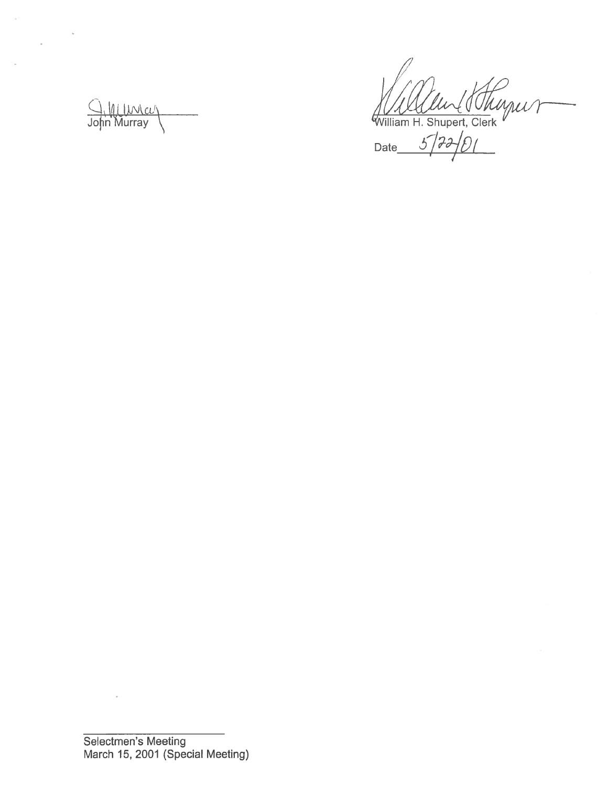1. Villuncer John Murray **illiam H. Shupert, Clerk** 

Date  $3777701$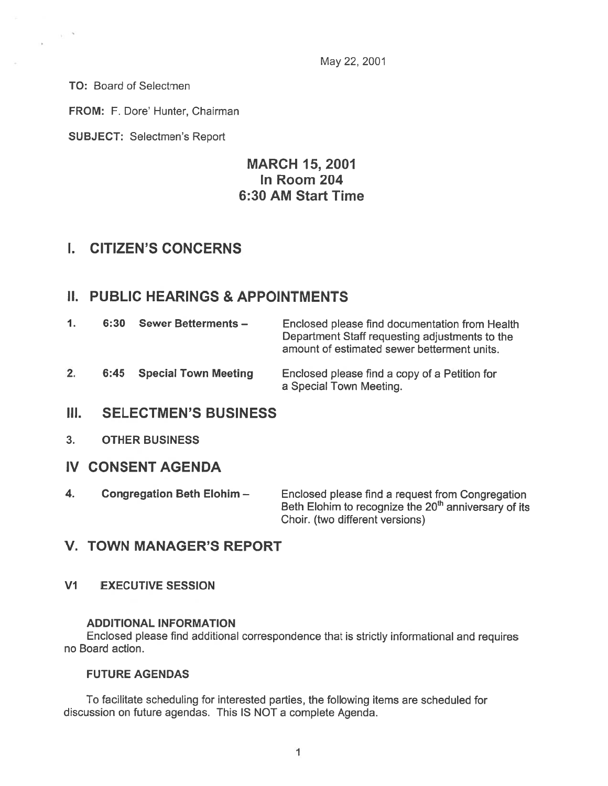May 22, 2001

TO: Board of Selectmen

 $\sim$ 

 $\sim$ 

FROM: F. Dore' Hunter, Chairman

SUBJECT: Selectmen's Report

## MARCH 15, 2001 In Room 204 6:30 AM Start Time

## I. CITIZEN'S CONCERNS

## II. PUBLIC HEARINGS & APPOINTMENTS

| $\mathbf{1}$ . | 6:30 | <b>Sewer Betterments -</b> | Enclosed please find documentation from Health<br>Department Staff requesting adjustments to the<br>amount of estimated sewer betterment units. |
|----------------|------|----------------------------|-------------------------------------------------------------------------------------------------------------------------------------------------|
| 2.             |      | 6:45 Special Town Meeting  | Enclosed please find a copy of a Petition for<br>a Special Town Meeting.                                                                        |

### III. SELECTMEN'S BUSINESS

### 3. OTHER BUSINESS

- IV CONSENT AGENDA
- 4. Congregation Beth Elohim Finclosed please find a request from Congregation Beth Elohim to recognize the 20<sup>th</sup> anniversary of its Choir. (two different versions)

## V. TOWN MANAGER'S REPORT

V1 EXECUTIVE SESSION

### ADDITIONAL INFORMATION

Enclosed <sup>p</sup>lease find additional correspondence that is strictly informational and requires no Board action.

#### FUTURE AGENDAS

To facilitate scheduling for interested parties, the following items are scheduled for discussion on future agendas. This IS NOT <sup>a</sup> complete Agenda.